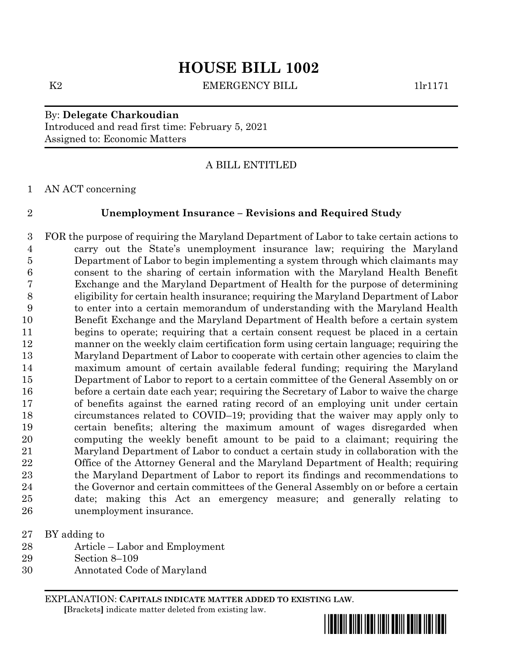# **HOUSE BILL 1002**

K2 EMERGENCY BILL 1lr1171

By: **Delegate Charkoudian** Introduced and read first time: February 5, 2021 Assigned to: Economic Matters

## A BILL ENTITLED

AN ACT concerning

### **Unemployment Insurance – Revisions and Required Study**

 FOR the purpose of requiring the Maryland Department of Labor to take certain actions to carry out the State's unemployment insurance law; requiring the Maryland Department of Labor to begin implementing a system through which claimants may consent to the sharing of certain information with the Maryland Health Benefit Exchange and the Maryland Department of Health for the purpose of determining eligibility for certain health insurance; requiring the Maryland Department of Labor to enter into a certain memorandum of understanding with the Maryland Health Benefit Exchange and the Maryland Department of Health before a certain system begins to operate; requiring that a certain consent request be placed in a certain manner on the weekly claim certification form using certain language; requiring the Maryland Department of Labor to cooperate with certain other agencies to claim the maximum amount of certain available federal funding; requiring the Maryland Department of Labor to report to a certain committee of the General Assembly on or before a certain date each year; requiring the Secretary of Labor to waive the charge of benefits against the earned rating record of an employing unit under certain circumstances related to COVID–19; providing that the waiver may apply only to certain benefits; altering the maximum amount of wages disregarded when computing the weekly benefit amount to be paid to a claimant; requiring the Maryland Department of Labor to conduct a certain study in collaboration with the Office of the Attorney General and the Maryland Department of Health; requiring the Maryland Department of Labor to report its findings and recommendations to 24 the Governor and certain committees of the General Assembly on or before a certain date; making this Act an emergency measure; and generally relating to unemployment insurance.

BY adding to

- Article Labor and Employment
- Section 8–109
- Annotated Code of Maryland

EXPLANATION: **CAPITALS INDICATE MATTER ADDED TO EXISTING LAW**.  **[**Brackets**]** indicate matter deleted from existing law.

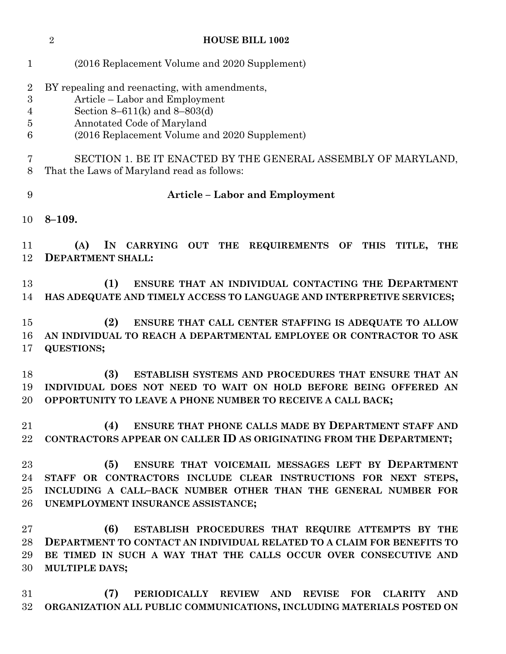|                                                                | <b>HOUSE BILL 1002</b><br>$\overline{2}$                                                                                                                                                                                            |
|----------------------------------------------------------------|-------------------------------------------------------------------------------------------------------------------------------------------------------------------------------------------------------------------------------------|
| $\mathbf 1$                                                    | (2016 Replacement Volume and 2020 Supplement)                                                                                                                                                                                       |
| $\overline{2}$<br>$\boldsymbol{3}$<br>$\overline{4}$<br>5<br>6 | BY repealing and reenacting, with amendments,<br>Article – Labor and Employment<br>Section 8–611(k) and 8–803(d)<br>Annotated Code of Maryland<br>(2016 Replacement Volume and 2020 Supplement)                                     |
| 7<br>8                                                         | SECTION 1. BE IT ENACTED BY THE GENERAL ASSEMBLY OF MARYLAND,<br>That the Laws of Maryland read as follows:                                                                                                                         |
| 9                                                              | <b>Article - Labor and Employment</b>                                                                                                                                                                                               |
| 10                                                             | $8 - 109.$                                                                                                                                                                                                                          |
| 11<br>12                                                       | (A)<br>CARRYING OUT THE<br>IN<br>REQUIREMENTS OF<br><b>THIS</b><br>TITLE,<br><b>THE</b><br><b>DEPARTMENT SHALL:</b>                                                                                                                 |
| 13<br>14                                                       | (1)<br>ENSURE THAT AN INDIVIDUAL CONTACTING THE DEPARTMENT<br>HAS ADEQUATE AND TIMELY ACCESS TO LANGUAGE AND INTERPRETIVE SERVICES;                                                                                                 |
| 15<br>16<br>17                                                 | (2)<br>ENSURE THAT CALL CENTER STAFFING IS ADEQUATE TO ALLOW<br>AN INDIVIDUAL TO REACH A DEPARTMENTAL EMPLOYEE OR CONTRACTOR TO ASK<br><b>QUESTIONS;</b>                                                                            |
| 18<br>19<br>20                                                 | (3)<br>ESTABLISH SYSTEMS AND PROCEDURES THAT ENSURE THAT AN<br>INDIVIDUAL DOES NOT NEED TO WAIT ON HOLD BEFORE BEING OFFERED AN<br>OPPORTUNITY TO LEAVE A PHONE NUMBER TO RECEIVE A CALL BACK;                                      |
| 21<br>22                                                       | <b>ENSURE THAT PHONE CALLS MADE BY DEPARTMENT STAFF AND</b><br>(4)<br>CONTRACTORS APPEAR ON CALLER ID AS ORIGINATING FROM THE DEPARTMENT;                                                                                           |
| 23<br>24<br>25<br>26                                           | ENSURE THAT VOICEMAIL MESSAGES LEFT BY DEPARTMENT<br>(5)<br>STAFF OR CONTRACTORS INCLUDE CLEAR INSTRUCTIONS FOR NEXT STEPS,<br>INCLUDING A CALL-BACK NUMBER OTHER THAN THE GENERAL NUMBER FOR<br>UNEMPLOYMENT INSURANCE ASSISTANCE; |
| $27\,$<br>28<br>29<br>30                                       | (6)<br>ESTABLISH PROCEDURES THAT REQUIRE ATTEMPTS BY THE<br>DEPARTMENT TO CONTACT AN INDIVIDUAL RELATED TO A CLAIM FOR BENEFITS TO<br>BE TIMED IN SUCH A WAY THAT THE CALLS OCCUR OVER CONSECUTIVE AND<br><b>MULTIPLE DAYS;</b>     |
| 31<br>$32\,$                                                   | (7)<br>PERIODICALLY REVIEW AND REVISE FOR<br><b>CLARITY</b><br><b>AND</b><br>ORGANIZATION ALL PUBLIC COMMUNICATIONS, INCLUDING MATERIALS POSTED ON                                                                                  |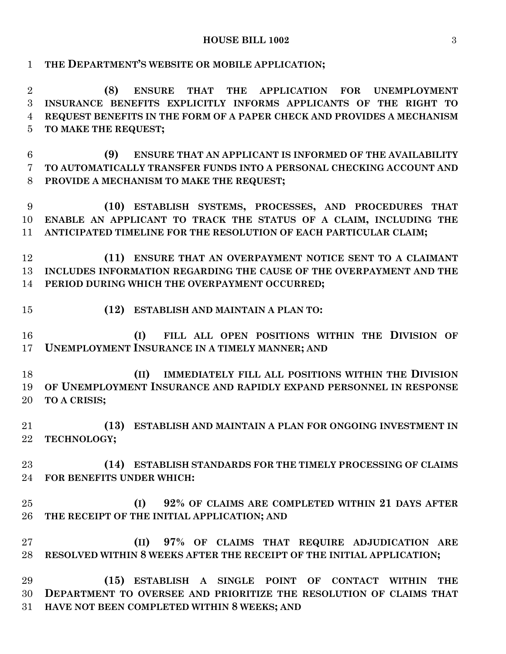#### **HOUSE BILL 1002** 3

**THE DEPARTMENT'S WEBSITE OR MOBILE APPLICATION;**

 **(8) ENSURE THAT THE APPLICATION FOR UNEMPLOYMENT INSURANCE BENEFITS EXPLICITLY INFORMS APPLICANTS OF THE RIGHT TO REQUEST BENEFITS IN THE FORM OF A PAPER CHECK AND PROVIDES A MECHANISM TO MAKE THE REQUEST;**

 **(9) ENSURE THAT AN APPLICANT IS INFORMED OF THE AVAILABILITY TO AUTOMATICALLY TRANSFER FUNDS INTO A PERSONAL CHECKING ACCOUNT AND PROVIDE A MECHANISM TO MAKE THE REQUEST;**

 **(10) ESTABLISH SYSTEMS, PROCESSES, AND PROCEDURES THAT ENABLE AN APPLICANT TO TRACK THE STATUS OF A CLAIM, INCLUDING THE ANTICIPATED TIMELINE FOR THE RESOLUTION OF EACH PARTICULAR CLAIM;**

 **(11) ENSURE THAT AN OVERPAYMENT NOTICE SENT TO A CLAIMANT INCLUDES INFORMATION REGARDING THE CAUSE OF THE OVERPAYMENT AND THE PERIOD DURING WHICH THE OVERPAYMENT OCCURRED;**

**(12) ESTABLISH AND MAINTAIN A PLAN TO:**

 **(I) FILL ALL OPEN POSITIONS WITHIN THE DIVISION OF UNEMPLOYMENT INSURANCE IN A TIMELY MANNER; AND**

 **(II) IMMEDIATELY FILL ALL POSITIONS WITHIN THE DIVISION OF UNEMPLOYMENT INSURANCE AND RAPIDLY EXPAND PERSONNEL IN RESPONSE TO A CRISIS;**

 **(13) ESTABLISH AND MAINTAIN A PLAN FOR ONGOING INVESTMENT IN TECHNOLOGY;**

 **(14) ESTABLISH STANDARDS FOR THE TIMELY PROCESSING OF CLAIMS FOR BENEFITS UNDER WHICH:**

 **(I) 92% OF CLAIMS ARE COMPLETED WITHIN 21 DAYS AFTER THE RECEIPT OF THE INITIAL APPLICATION; AND**

 **(II) 97% OF CLAIMS THAT REQUIRE ADJUDICATION ARE RESOLVED WITHIN 8 WEEKS AFTER THE RECEIPT OF THE INITIAL APPLICATION;**

 **(15) ESTABLISH A SINGLE POINT OF CONTACT WITHIN THE DEPARTMENT TO OVERSEE AND PRIORITIZE THE RESOLUTION OF CLAIMS THAT HAVE NOT BEEN COMPLETED WITHIN 8 WEEKS; AND**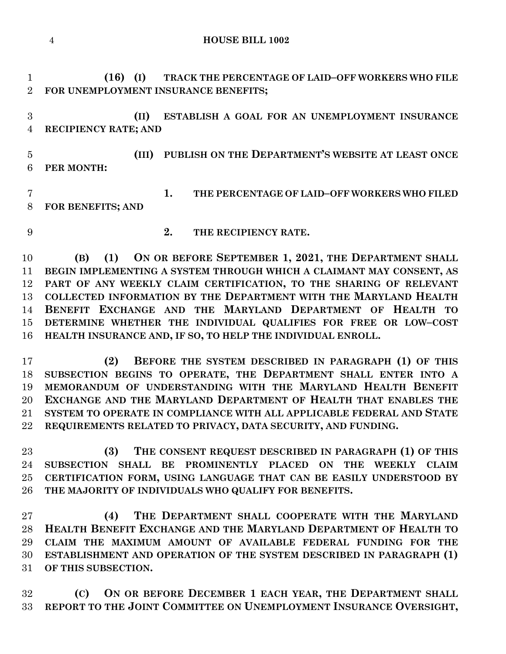**HOUSE BILL 1002**

 **(16) (I) TRACK THE PERCENTAGE OF LAID–OFF WORKERS WHO FILE FOR UNEMPLOYMENT INSURANCE BENEFITS;**

 **(II) ESTABLISH A GOAL FOR AN UNEMPLOYMENT INSURANCE RECIPIENCY RATE; AND**

 **(III) PUBLISH ON THE DEPARTMENT'S WEBSITE AT LEAST ONCE PER MONTH:**

 **1. THE PERCENTAGE OF LAID–OFF WORKERS WHO FILED FOR BENEFITS; AND** 

**2. THE RECIPIENCY RATE.**

 **(B) (1) ON OR BEFORE SEPTEMBER 1, 2021, THE DEPARTMENT SHALL BEGIN IMPLEMENTING A SYSTEM THROUGH WHICH A CLAIMANT MAY CONSENT, AS PART OF ANY WEEKLY CLAIM CERTIFICATION, TO THE SHARING OF RELEVANT COLLECTED INFORMATION BY THE DEPARTMENT WITH THE MARYLAND HEALTH BENEFIT EXCHANGE AND THE MARYLAND DEPARTMENT OF HEALTH TO DETERMINE WHETHER THE INDIVIDUAL QUALIFIES FOR FREE OR LOW–COST HEALTH INSURANCE AND, IF SO, TO HELP THE INDIVIDUAL ENROLL.**

 **(2) BEFORE THE SYSTEM DESCRIBED IN PARAGRAPH (1) OF THIS SUBSECTION BEGINS TO OPERATE, THE DEPARTMENT SHALL ENTER INTO A MEMORANDUM OF UNDERSTANDING WITH THE MARYLAND HEALTH BENEFIT EXCHANGE AND THE MARYLAND DEPARTMENT OF HEALTH THAT ENABLES THE SYSTEM TO OPERATE IN COMPLIANCE WITH ALL APPLICABLE FEDERAL AND STATE REQUIREMENTS RELATED TO PRIVACY, DATA SECURITY, AND FUNDING.**

 **(3) THE CONSENT REQUEST DESCRIBED IN PARAGRAPH (1) OF THIS SUBSECTION SHALL BE PROMINENTLY PLACED ON THE WEEKLY CLAIM CERTIFICATION FORM, USING LANGUAGE THAT CAN BE EASILY UNDERSTOOD BY THE MAJORITY OF INDIVIDUALS WHO QUALIFY FOR BENEFITS.**

 **(4) THE DEPARTMENT SHALL COOPERATE WITH THE MARYLAND HEALTH BENEFIT EXCHANGE AND THE MARYLAND DEPARTMENT OF HEALTH TO CLAIM THE MAXIMUM AMOUNT OF AVAILABLE FEDERAL FUNDING FOR THE ESTABLISHMENT AND OPERATION OF THE SYSTEM DESCRIBED IN PARAGRAPH (1) OF THIS SUBSECTION.**

 **(C) ON OR BEFORE DECEMBER 1 EACH YEAR, THE DEPARTMENT SHALL REPORT TO THE JOINT COMMITTEE ON UNEMPLOYMENT INSURANCE OVERSIGHT,**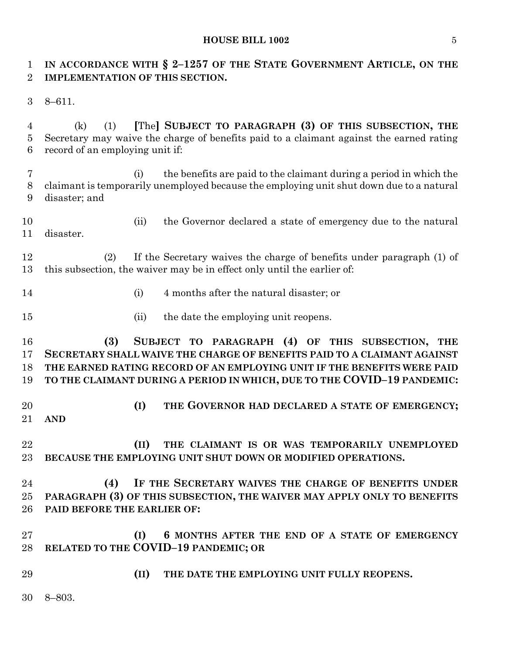#### **HOUSE BILL 1002** 5

# **IN ACCORDANCE WITH § 2–1257 OF THE STATE GOVERNMENT ARTICLE, ON THE IMPLEMENTATION OF THIS SECTION.**

8–611.

 (k) (1) **[**The**] SUBJECT TO PARAGRAPH (3) OF THIS SUBSECTION, THE** Secretary may waive the charge of benefits paid to a claimant against the earned rating record of an employing unit if:

 (i) the benefits are paid to the claimant during a period in which the claimant is temporarily unemployed because the employing unit shut down due to a natural disaster; and

 (ii) the Governor declared a state of emergency due to the natural disaster.

 (2) If the Secretary waives the charge of benefits under paragraph (1) of this subsection, the waiver may be in effect only until the earlier of:

- (i) 4 months after the natural disaster; or
- 15 (ii) the date the employing unit reopens.

 **(3) SUBJECT TO PARAGRAPH (4) OF THIS SUBSECTION, THE SECRETARY SHALL WAIVE THE CHARGE OF BENEFITS PAID TO A CLAIMANT AGAINST THE EARNED RATING RECORD OF AN EMPLOYING UNIT IF THE BENEFITS WERE PAID TO THE CLAIMANT DURING A PERIOD IN WHICH, DUE TO THE COVID–19 PANDEMIC:**

 **(I) THE GOVERNOR HAD DECLARED A STATE OF EMERGENCY; AND**

 **(II) THE CLAIMANT IS OR WAS TEMPORARILY UNEMPLOYED BECAUSE THE EMPLOYING UNIT SHUT DOWN OR MODIFIED OPERATIONS.**

 **(4) IF THE SECRETARY WAIVES THE CHARGE OF BENEFITS UNDER PARAGRAPH (3) OF THIS SUBSECTION, THE WAIVER MAY APPLY ONLY TO BENEFITS PAID BEFORE THE EARLIER OF:**

- **(I) 6 MONTHS AFTER THE END OF A STATE OF EMERGENCY RELATED TO THE COVID–19 PANDEMIC; OR**
- **(II) THE DATE THE EMPLOYING UNIT FULLY REOPENS.**
- 8–803.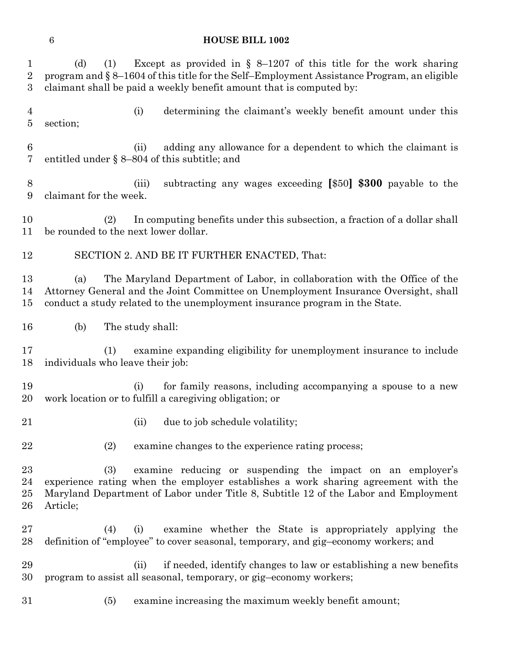#### **HOUSE BILL 1002**

 (d) (1) Except as provided in § 8–1207 of this title for the work sharing program and § 8–1604 of this title for the Self–Employment Assistance Program, an eligible claimant shall be paid a weekly benefit amount that is computed by: (i) determining the claimant's weekly benefit amount under this section; (ii) adding any allowance for a dependent to which the claimant is entitled under § 8–804 of this subtitle; and (iii) subtracting any wages exceeding **[**\$50**] \$300** payable to the claimant for the week. (2) In computing benefits under this subsection, a fraction of a dollar shall be rounded to the next lower dollar. SECTION 2. AND BE IT FURTHER ENACTED, That: (a) The Maryland Department of Labor, in collaboration with the Office of the Attorney General and the Joint Committee on Unemployment Insurance Oversight, shall conduct a study related to the unemployment insurance program in the State. (b) The study shall: (1) examine expanding eligibility for unemployment insurance to include individuals who leave their job: (i) for family reasons, including accompanying a spouse to a new work location or to fulfill a caregiving obligation; or 21 (ii) due to job schedule volatility; (2) examine changes to the experience rating process; (3) examine reducing or suspending the impact on an employer's experience rating when the employer establishes a work sharing agreement with the Maryland Department of Labor under Title 8, Subtitle 12 of the Labor and Employment Article; (4) (i) examine whether the State is appropriately applying the definition of "employee" to cover seasonal, temporary, and gig–economy workers; and (ii) if needed, identify changes to law or establishing a new benefits program to assist all seasonal, temporary, or gig–economy workers; (5) examine increasing the maximum weekly benefit amount;